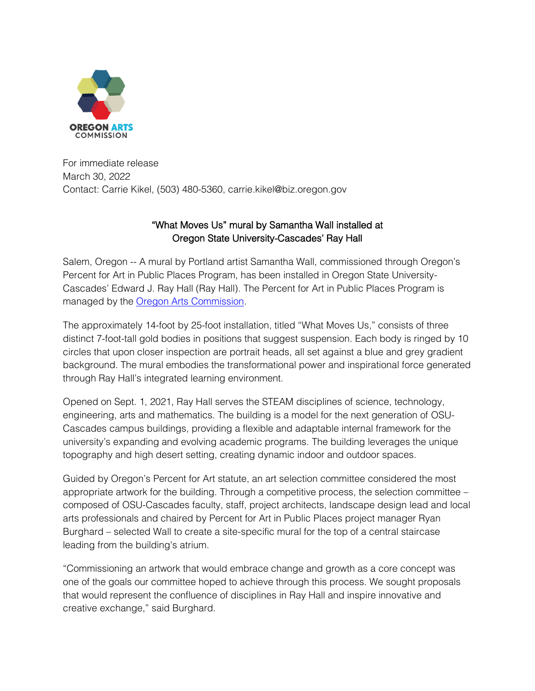

For immediate release March 30, 2022 Contact: Carrie Kikel, (503) 480-5360, carrie.kikel@biz.oregon.gov

## "What Moves Us" mural by Samantha Wall installed at Oregon State University-Cascades' Ray Hall

Salem, Oregon -- A mural by Portland artist Samantha Wall, commissioned through Oregon's Percent for Art in Public Places Program, has been installed in Oregon State University-Cascades' Edward J. Ray Hall (Ray Hall). The Percent for Art in Public Places Program is managed by the [Oregon Arts Commission.](https://www.oregonartscommission.org/)

The approximately 14-foot by 25-foot installation, titled "What Moves Us," consists of three distinct 7-foot-tall gold bodies in positions that suggest suspension. Each body is ringed by 10 circles that upon closer inspection are portrait heads, all set against a blue and grey gradient background. The mural embodies the transformational power and inspirational force generated through Ray Hall's integrated learning environment.

Opened on Sept. 1, 2021, Ray Hall serves the STEAM disciplines of science, technology, engineering, arts and mathematics. The building is a model for the next generation of OSU-Cascades campus buildings, providing a flexible and adaptable internal framework for the university's expanding and evolving academic programs. The building leverages the unique topography and high desert setting, creating dynamic indoor and outdoor spaces.

Guided by Oregon's Percent for Art statute, an art selection committee considered the most appropriate artwork for the building. Through a competitive process, the selection committee – composed of OSU-Cascades faculty, staff, project architects, landscape design lead and local arts professionals and chaired by Percent for Art in Public Places project manager Ryan Burghard – selected Wall to create a site-specific mural for the top of a central staircase leading from the building's atrium.

"Commissioning an artwork that would embrace change and growth as a core concept was one of the goals our committee hoped to achieve through this process. We sought proposals that would represent the confluence of disciplines in Ray Hall and inspire innovative and creative exchange," said Burghard.